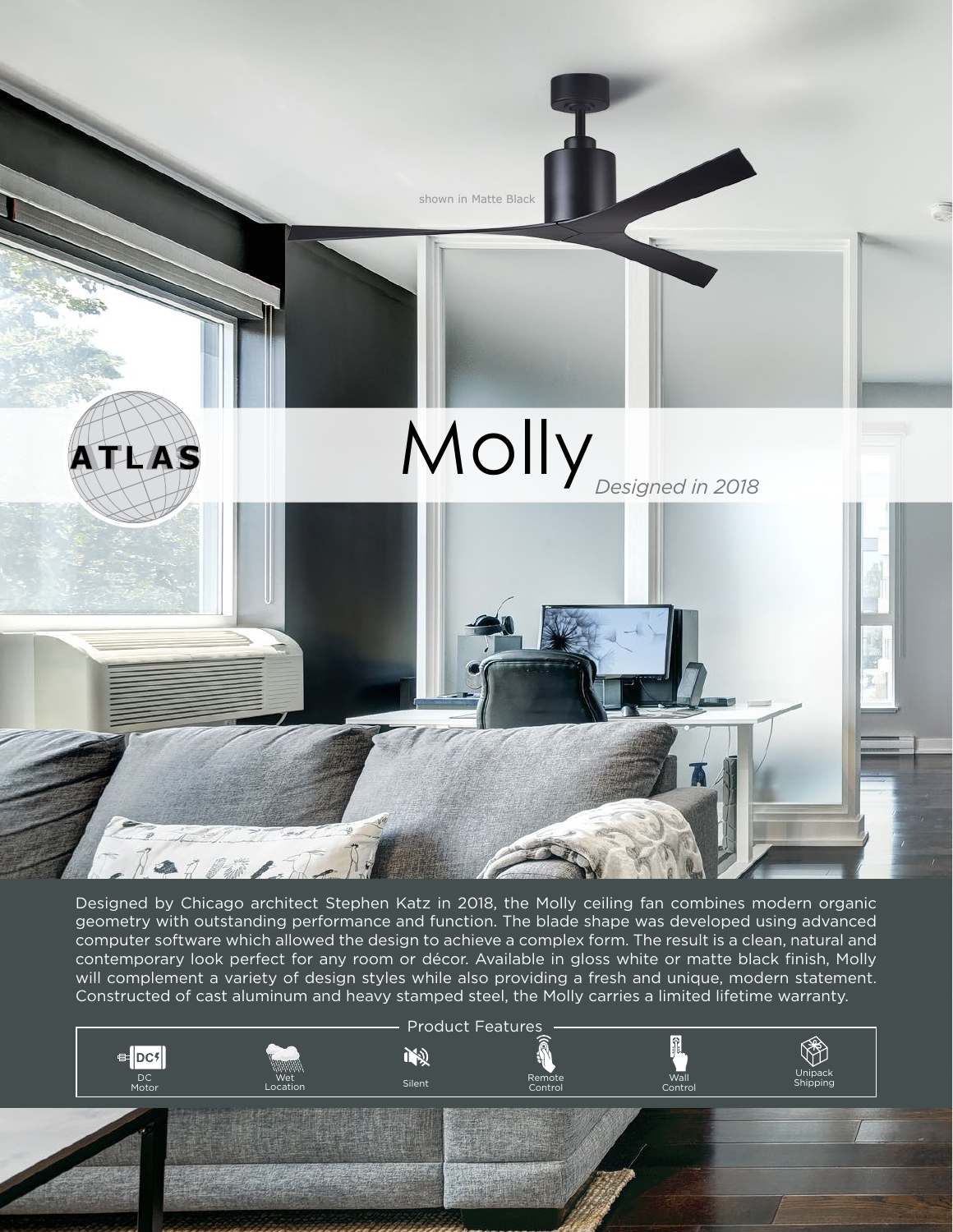

Designed by Chicago architect Stephen Katz in 2018, the Molly ceiling fan combines modern organic geometry with outstanding performance and function. The blade shape was developed using advanced computer software which allowed the design to achieve a complex form. The result is a clean, natural and contemporary look perfect for any room or décor. Available in gloss white or matte black finish, Molly will complement a variety of design styles while also providing a fresh and unique, modern statement. Constructed of cast aluminum and heavy stamped steel, the Molly carries a limited lifetime warranty.

Product Features

吻

Unipack

K.

Shipping Remote

Control

Control Wall

Wet<br>Location

Silent DC

DC<br>Motor

E-DC5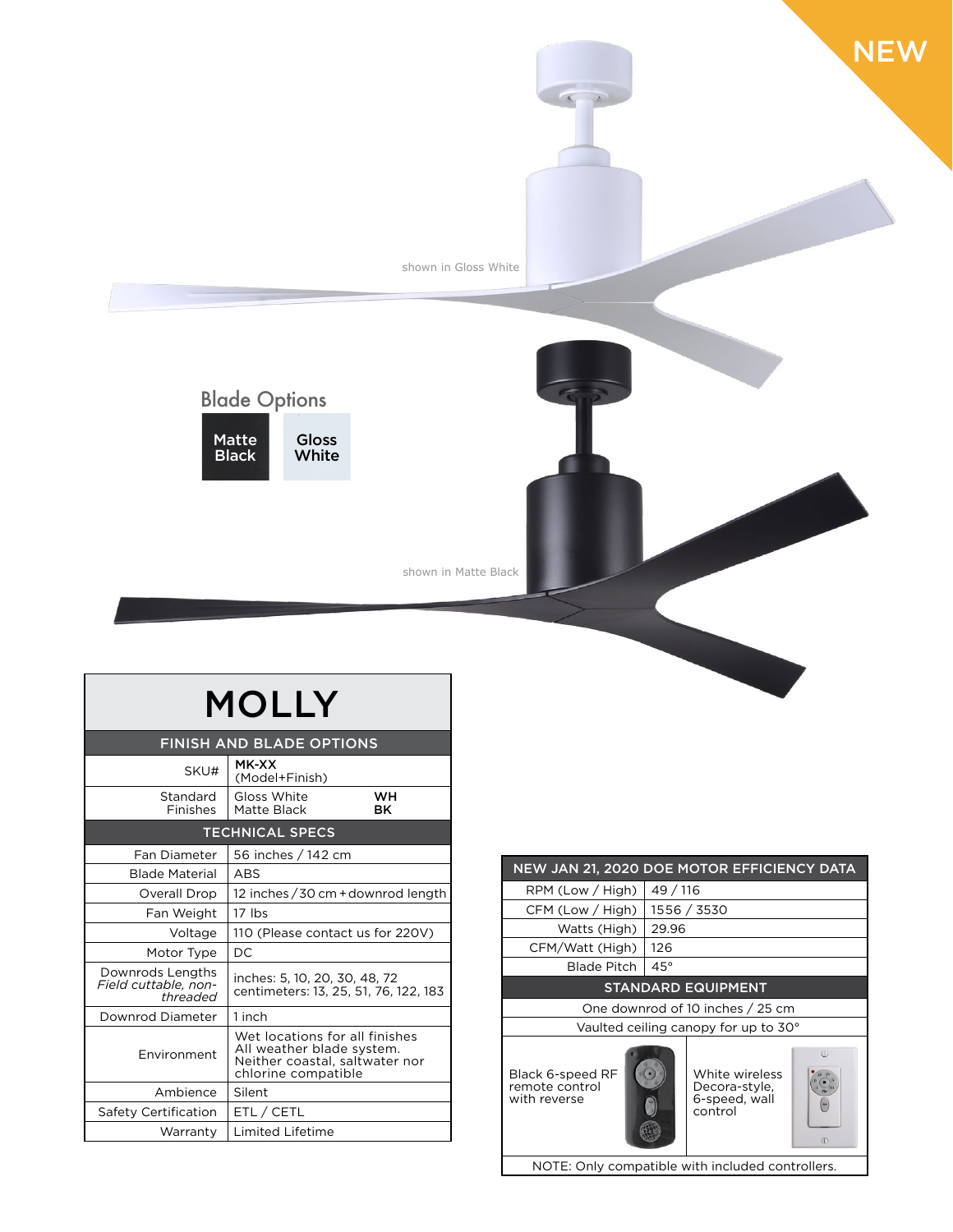

| <b>MOLLY</b>                                         |                                                                                                                      |          |  |
|------------------------------------------------------|----------------------------------------------------------------------------------------------------------------------|----------|--|
| <b>FINISH AND BLADE OPTIONS</b>                      |                                                                                                                      |          |  |
| SKU#                                                 | MK-XX<br>(Model+Finish)                                                                                              |          |  |
| Standard<br>Finishes                                 | Gloss White<br>Matte Black                                                                                           | wн<br>вĸ |  |
| <b>TECHNICAL SPECS</b>                               |                                                                                                                      |          |  |
| <b>Fan Diameter</b>                                  | 56 inches / 142 cm                                                                                                   |          |  |
| <b>Blade Material</b>                                | <b>ABS</b>                                                                                                           |          |  |
| Overall Drop                                         | 12 inches / 30 cm + downrod length                                                                                   |          |  |
| Fan Weight                                           | $17$ lbs                                                                                                             |          |  |
| Voltage                                              | 110 (Please contact us for 220V)                                                                                     |          |  |
| Motor Type                                           | DC.                                                                                                                  |          |  |
| Downrods Lengths<br>Field cuttable, non-<br>threaded | inches: 5, 10, 20, 30, 48, 72<br>centimeters: 13, 25, 51, 76, 122, 183                                               |          |  |
| Downrod Diameter                                     | 1 inch                                                                                                               |          |  |
| Environment                                          | Wet locations for all finishes<br>All weather blade system.<br>Neither coastal, saltwater nor<br>chlorine compatible |          |  |
| Ambience                                             | Silent                                                                                                               |          |  |
| Safety Certification                                 | ETL / CETL                                                                                                           |          |  |
| Warranty                                             | Limited Lifetime                                                                                                     |          |  |

| NEW JAN 21, 2020 DOE MOTOR EFFICIENCY DATA                |                                                                                   |  |  |
|-----------------------------------------------------------|-----------------------------------------------------------------------------------|--|--|
| RPM (Low / High)                                          | 49 / 116                                                                          |  |  |
| CFM (Low / High)                                          | 1556 / 3530                                                                       |  |  |
| Watts (High)                                              | 29.96                                                                             |  |  |
| CFM/Watt (High)                                           | 126                                                                               |  |  |
| Blade Pitch                                               | $45^\circ$                                                                        |  |  |
| <b>STANDARD EQUIPMENT</b>                                 |                                                                                   |  |  |
| One downrod of 10 inches / 25 cm                          |                                                                                   |  |  |
| Vaulted ceiling canopy for up to 30°                      |                                                                                   |  |  |
| <b>Black 6-speed RF</b><br>remote control<br>with reverse | (1)<br>White wireless<br>Decora-style,<br>6-speed, wall<br>control<br>$\circledR$ |  |  |
| NOTE: Only compatible with included controllers.          |                                                                                   |  |  |